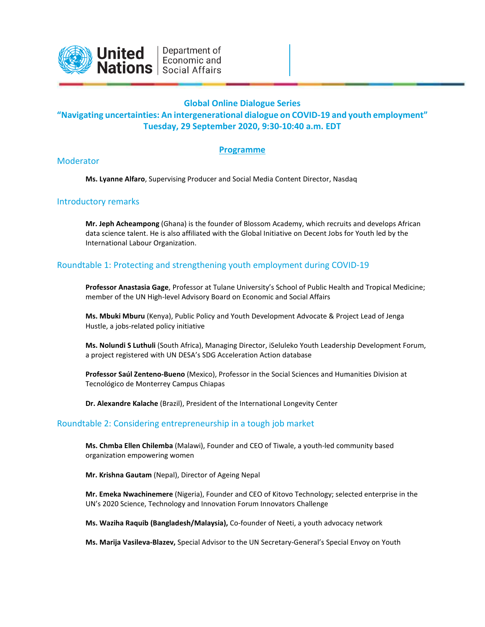

## **Global Online Dialogue Series**

## **"Navigating uncertainties: An intergenerational dialogue on COVID-19 and youth employment" Tuesday, 29 September 2020, 9:30-10:40 a.m. EDT**

### **Programme**

#### Moderator

**Ms. Lyanne Alfaro**, Supervising Producer and Social Media Content Director, Nasdaq

#### Introductory remarks

**Mr. Jeph Acheampong** (Ghana) is the founder of Blossom Academy, which recruits and develops African data science talent. He is also affiliated with the Global Initiative on Decent Jobs for Youth led by the International Labour Organization.

## Roundtable 1: Protecting and strengthening youth employment during COVID-19

**Professor Anastasia Gage**, Professor at Tulane University's School of Public Health and Tropical Medicine; member of the UN High-level Advisory Board on Economic and Social Affairs

**Ms. Mbuki Mburu** (Kenya), Public Policy and Youth Development Advocate & Project Lead of Jenga Hustle, a jobs-related policy initiative

**Ms. Nolundi S Luthuli** (South Africa), Managing Director, iSeluleko Youth Leadership Development Forum, a project registered with UN DESA's SDG Acceleration Action database

**Professor Saúl Zenteno-Bueno** (Mexico), Professor in the Social Sciences and Humanities Division at Tecnológico de Monterrey Campus Chiapas

**Dr. Alexandre Kalache** (Brazil), President of the International Longevity Center

#### Roundtable 2: Considering entrepreneurship in a tough job market

**Ms. Chmba Ellen Chilemba** (Malawi), Founder and CEO of Tiwale, a youth-led community based organization empowering women

**Mr. Krishna Gautam** (Nepal), Director of Ageing Nepal

**Mr. Emeka Nwachinemere** (Nigeria), Founder and CEO of Kitovo Technology; selected enterprise in the UN's 2020 Science, Technology and Innovation Forum Innovators Challenge

**Ms. Waziha Raquib (Bangladesh/Malaysia),** Co-founder of Neeti, a youth advocacy network

**Ms. Marija Vasileva-Blazev,** Special Advisor to the UN Secretary-General's Special Envoy on Youth